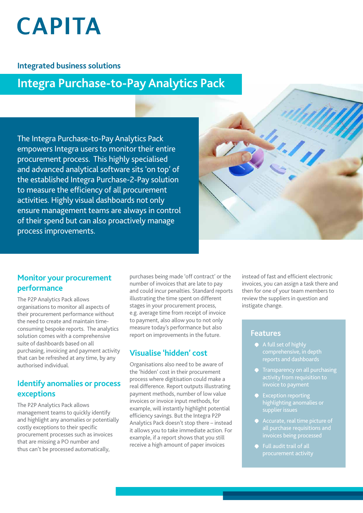# **CAPITA**

#### **Integrated business solutions**

## **Integra Purchase-to-Pay Analytics Pack**

The Integra Purchase-to-Pay Analytics Pack empowers Integra users to monitor their entire procurement process. This highly specialised and advanced analytical software sits 'on top' of the established Integra Purchase-2-Pay solution to measure the efficiency of all procurement activities. Highly visual dashboards not only ensure management teams are always in control of their spend but can also proactively manage process improvements.



#### **Monitor your procurement performance**

The P2P Analytics Pack allows organisations to monitor all aspects of their procurement performance without the need to create and maintain timeconsuming bespoke reports. The analytics solution comes with a comprehensive suite of dashboards based on all purchasing, invoicing and payment activity that can be refreshed at any time, by any authorised individual.

#### **Identify anomalies or process exceptions**

The P2P Analytics Pack allows management teams to quickly identify and highlight any anomalies or potentially costly exceptions to their specific procurement processes such as invoices that are missing a PO number and thus can't be processed automatically,

purchases being made 'off contract' or the number of invoices that are late to pay and could incur penalties. Standard reports illustrating the time spent on different stages in your procurement process, e.g. average time from receipt of invoice to payment, also allow you to not only measure today's performance but also report on improvements in the future.

### **Visualise 'hidden' cost**

Organisations also need to be aware of the 'hidden' cost in their procurement process where digitisation could make a real difference. Report outputs illustrating payment methods, number of low value invoices or invoice input methods, for example, will instantly highlight potential efficiency savings. But the Integra P2P Analytics Pack doesn't stop there – instead it allows you to take immediate action. For example, if a report shows that you still receive a high amount of paper invoices

instead of fast and efficient electronic invoices, you can assign a task there and then for one of your team members to review the suppliers in question and instigate change.

#### **Features**

- A full set of highly
- **•** Transparency on all purchasing invoice to payment
- highlighting anomalies or supplier issues
- invoices being processed
- Full audit trail of all